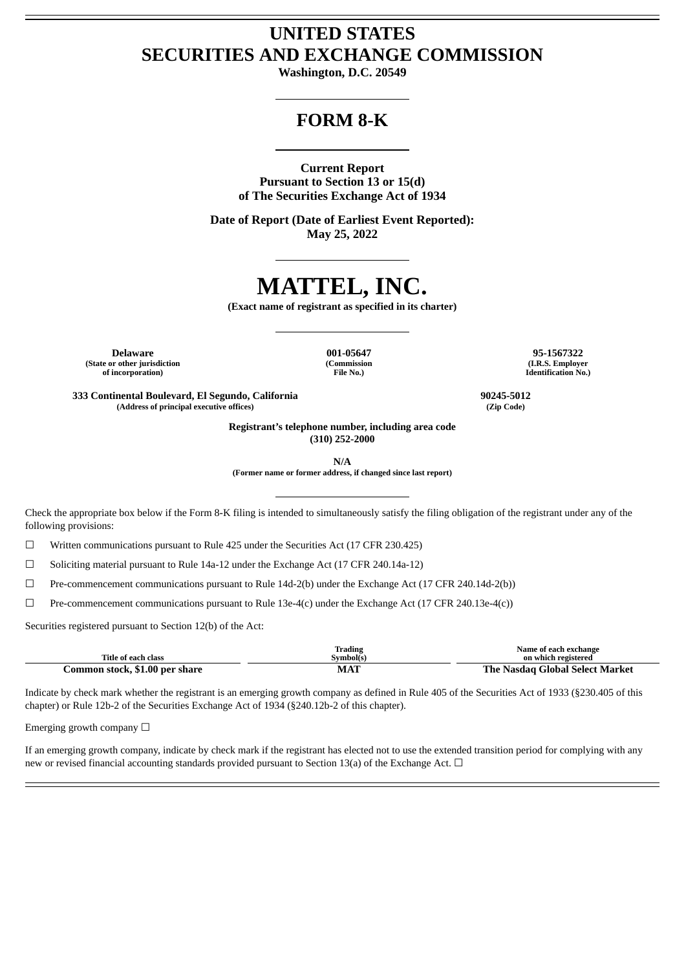# **UNITED STATES SECURITIES AND EXCHANGE COMMISSION**

**Washington, D.C. 20549**

# **FORM 8-K**

## **Current Report**

**Pursuant to Section 13 or 15(d) of The Securities Exchange Act of 1934**

**Date of Report (Date of Earliest Event Reported): May 25, 2022**

# **MATTEL, INC.**

**(Exact name of registrant as specified in its charter)**

**(State or other jurisdiction of incorporation)**

**(Commission File No.)**

**Delaware 001-05647 95-1567322 (I.R.S. Employer Identification No.)**

**333 Continental Boulevard, El Segundo, California 90245-5012 (Address of principal executive offices) (Zip Code)**

**Registrant's telephone number, including area code (310) 252-2000**

**N/A**

**(Former name or former address, if changed since last report)**

Check the appropriate box below if the Form 8-K filing is intended to simultaneously satisfy the filing obligation of the registrant under any of the following provisions:

 $\Box$  Written communications pursuant to Rule 425 under the Securities Act (17 CFR 230.425)

☐ Soliciting material pursuant to Rule 14a-12 under the Exchange Act (17 CFR 240.14a-12)

 $\Box$  Pre-commencement communications pursuant to Rule 14d-2(b) under the Exchange Act (17 CFR 240.14d-2(b))

☐ Pre-commencement communications pursuant to Rule 13e-4(c) under the Exchange Act (17 CFR 240.13e-4(c))

Securities registered pursuant to Section 12(b) of the Act:

|                                | Irading  | Name of each exchange                |
|--------------------------------|----------|--------------------------------------|
| Title of each class            | Svmbol(s | on which registered                  |
| Common stock, \$1.00 per share | MAT      | : Nasdag Global Select Market<br>The |

Indicate by check mark whether the registrant is an emerging growth company as defined in Rule 405 of the Securities Act of 1933 (§230.405 of this chapter) or Rule 12b-2 of the Securities Exchange Act of 1934 (§240.12b-2 of this chapter).

Emerging growth company  $\Box$ 

If an emerging growth company, indicate by check mark if the registrant has elected not to use the extended transition period for complying with any new or revised financial accounting standards provided pursuant to Section 13(a) of the Exchange Act.  $\Box$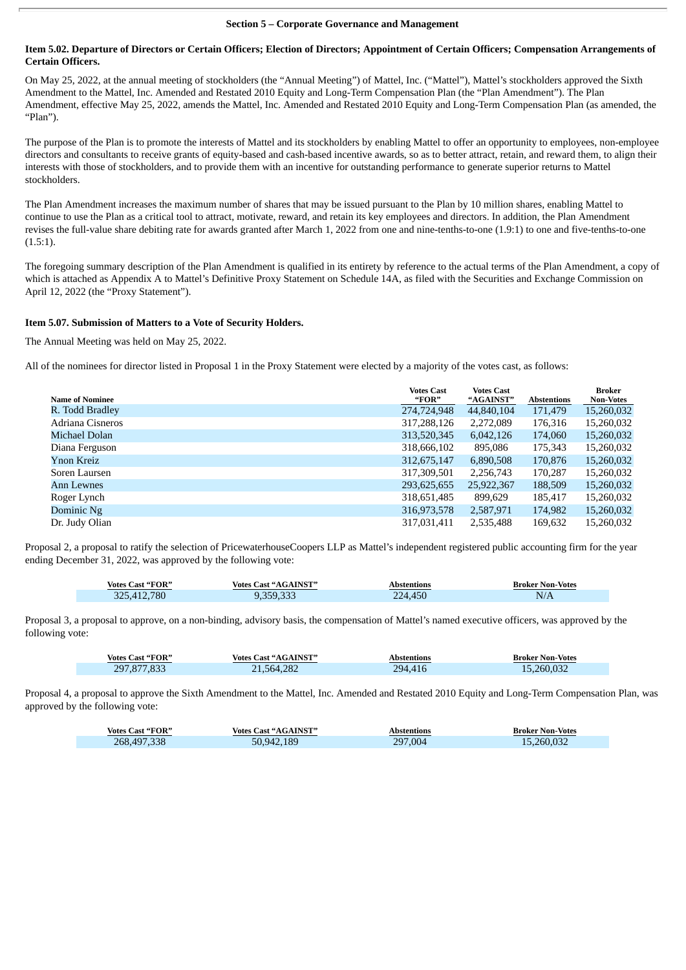#### **Section 5 – Corporate Governance and Management**

#### Item 5.02. Departure of Directors or Certain Officers; Election of Directors; Appointment of Certain Officers; Compensation Arrangements of **Certain Officers.**

On May 25, 2022, at the annual meeting of stockholders (the "Annual Meeting") of Mattel, Inc. ("Mattel"), Mattel's stockholders approved the Sixth Amendment to the Mattel, Inc. Amended and Restated 2010 Equity and Long-Term Compensation Plan (the "Plan Amendment"). The Plan Amendment, effective May 25, 2022, amends the Mattel, Inc. Amended and Restated 2010 Equity and Long-Term Compensation Plan (as amended, the "Plan").

The purpose of the Plan is to promote the interests of Mattel and its stockholders by enabling Mattel to offer an opportunity to employees, non-employee directors and consultants to receive grants of equity-based and cash-based incentive awards, so as to better attract, retain, and reward them, to align their interests with those of stockholders, and to provide them with an incentive for outstanding performance to generate superior returns to Mattel stockholders.

The Plan Amendment increases the maximum number of shares that may be issued pursuant to the Plan by 10 million shares, enabling Mattel to continue to use the Plan as a critical tool to attract, motivate, reward, and retain its key employees and directors. In addition, the Plan Amendment revises the full-value share debiting rate for awards granted after March 1, 2022 from one and nine-tenths-to-one (1.9:1) to one and five-tenths-to-one (1.5:1).

The foregoing summary description of the Plan Amendment is qualified in its entirety by reference to the actual terms of the Plan Amendment, a copy of which is attached as Appendix A to Mattel's Definitive Proxy Statement on Schedule 14A, as filed with the Securities and Exchange Commission on April 12, 2022 (the "Proxy Statement").

## **Item 5.07. Submission of Matters to a Vote of Security Holders.**

The Annual Meeting was held on May 25, 2022.

All of the nominees for director listed in Proposal 1 in the Proxy Statement were elected by a majority of the votes cast, as follows:

| <b>Name of Nominee</b> | <b>Votes Cast</b><br>"FOR" | <b>Votes Cast</b><br>"AGAINST" | <b>Abstentions</b> | <b>Broker</b><br><b>Non-Votes</b> |
|------------------------|----------------------------|--------------------------------|--------------------|-----------------------------------|
| R. Todd Bradley        | 274,724,948                | 44,840,104                     | 171,479            | 15,260,032                        |
| Adriana Cisneros       | 317,288,126                | 2,272,089                      | 176,316            | 15,260,032                        |
| Michael Dolan          | 313,520,345                | 6,042,126                      | 174,060            | 15,260,032                        |
| Diana Ferguson         | 318,666,102                | 895,086                        | 175,343            | 15,260,032                        |
| Ynon Kreiz             | 312,675,147                | 6,890,508                      | 170,876            | 15,260,032                        |
| Soren Laursen          | 317,309,501                | 2,256,743                      | 170,287            | 15,260,032                        |
| Ann Lewnes             | 293,625,655                | 25,922,367                     | 188,509            | 15,260,032                        |
| Roger Lynch            | 318,651,485                | 899,629                        | 185,417            | 15,260,032                        |
| Dominic Ng             | 316,973,578                | 2,587,971                      | 174,982            | 15,260,032                        |
| Dr. Judy Olian         | 317,031,411                | 2,535,488                      | 169,632            | 15,260,032                        |

Proposal 2, a proposal to ratify the selection of PricewaterhouseCoopers LLP as Mattel's independent registered public accounting firm for the year ending December 31, 2022, was approved by the following vote:

| Votes Cast "FOR" | <b>Votes Cast "AGAINST"</b> | Abstentions | <b>Broker Non-Votes</b> |
|------------------|-----------------------------|-------------|-------------------------|
| 325,412,780      | 9,359,333                   | 224,450     | N/A                     |

Proposal 3, a proposal to approve, on a non-binding, advisory basis, the compensation of Mattel's named executive officers, was approved by the following vote:

| <b>Votes Cast "FOR"</b> | <b>Votes Cast "AGAINST"</b> | Abstentions | <b>Broker Non-Votes</b> |
|-------------------------|-----------------------------|-------------|-------------------------|
| 297,877,833             | 21,564,282                  | 294,416     | 15,260,032              |

Proposal 4, a proposal to approve the Sixth Amendment to the Mattel, Inc. Amended and Restated 2010 Equity and Long-Term Compensation Plan, was approved by the following vote:

| <b>Votes Cast "FOR"</b> | Votes Cast "AGAINST" | Abstentions | <b>Broker Non-Votes</b> |
|-------------------------|----------------------|-------------|-------------------------|
| 268,497,338             | 50.942.189           | 297,004     | 15,260,032              |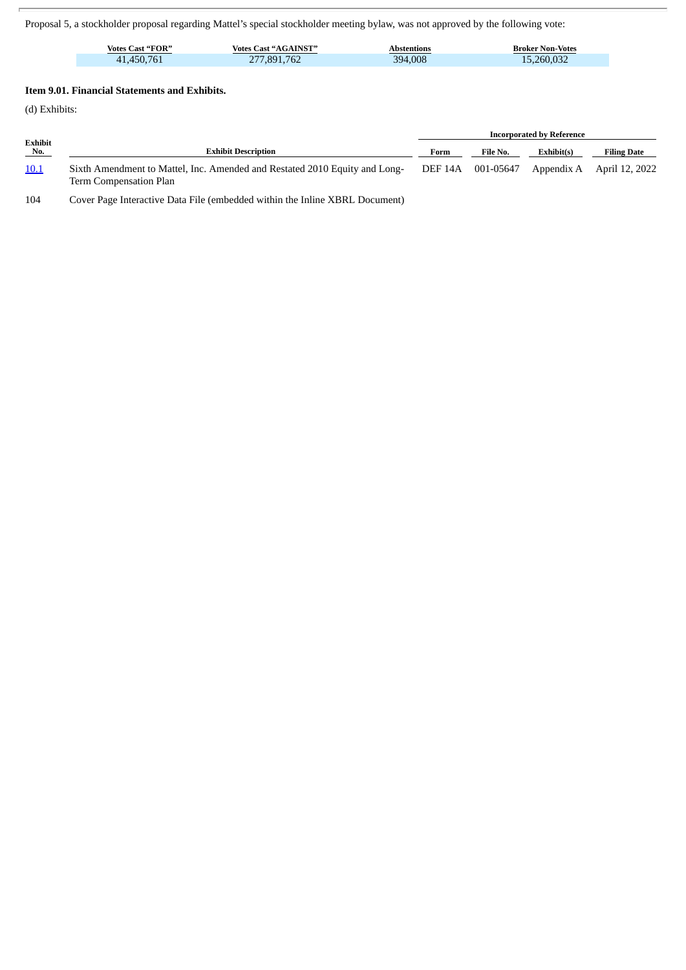Proposal 5, a stockholder proposal regarding Mattel's special stockholder meeting bylaw, was not approved by the following vote:

| <b>Votes Cast "FOR"</b> | <b>Votes Cast "AGAINST"</b> | Abstentions  | <b>Broker Non-Votes</b> |
|-------------------------|-----------------------------|--------------|-------------------------|
| 450.<br>$\Delta$        | .762<br>RQ<br>$\epsilon$    | 4,008<br>394 | 260.032<br>ъ            |

## **Item 9.01. Financial Statements and Exhibits.**

(d) Exhibits:

|                |                                                                                                      | <b>Incorporated by Reference</b> |           |            |                           |
|----------------|------------------------------------------------------------------------------------------------------|----------------------------------|-----------|------------|---------------------------|
| Exhibit<br>No. | <b>Exhibit Description</b>                                                                           | Form                             | File No.  | Exhibit(s) | <b>Filing Date</b>        |
| <u>10.1</u>    | Sixth Amendment to Mattel, Inc. Amended and Restated 2010 Equity and Long-<br>Term Compensation Plan | DEF 14A                          | 001-05647 |            | Appendix A April 12, 2022 |

104 Cover Page Interactive Data File (embedded within the Inline XBRL Document)